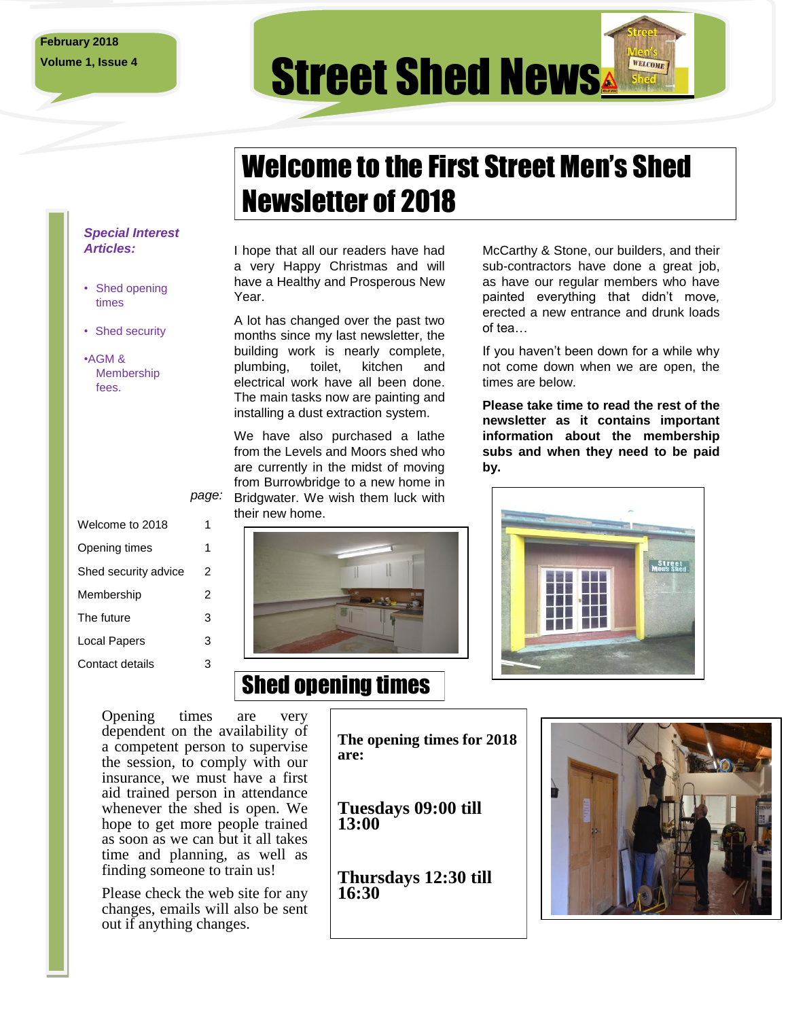## **Volume 1, Issue 4 Street Shed News** WELCOME

# Welcome to the First Street Men's Shed Newsletter of 2018

#### *Special Interest Articles:*

- Shed opening times
- Shed security
- •AGM & Membership fees.

| Welcome to 2018      | 1 |
|----------------------|---|
| Opening times        | 1 |
| Shed security advice | 2 |
| Membership           | 2 |
| The future           | 3 |
| Local Papers         | 3 |
| Contact details      | 3 |
|                      |   |

#### I hope that all our readers have had a very Happy Christmas and will have a Healthy and Prosperous New Year.

A lot has changed over the past two months since my last newsletter, the building work is nearly complete, plumbing, toilet, kitchen and electrical work have all been done. The main tasks now are painting and installing a dust extraction system.

page: Bridgwater. We wish them luck with We have also purchased a lathe from the Levels and Moors shed who are currently in the midst of moving from Burrowbridge to a new home in their new home.

Shed opening times

McCarthy & Stone, our builders, and their sub-contractors have done a great job, as have our regular members who have painted everything that didn't move*,* erected a new entrance and drunk loads of tea…

If you haven't been down for a while why not come down when we are open, the times are below.

**Please take time to read the rest of the newsletter as it contains important information about the membership subs and when they need to be paid by.**



Opening times are very dependent on the availability of a competent person to supervise the session, to comply with our insurance, we must have a first aid trained person in attendance whenever the shed is open. We hope to get more people trained as soon as we can but it all takes time and planning, as well as finding someone to train us!

Please check the web site for any changes, emails will also be sent out if anything changes.

**The opening times for 2018 are:**

**Tuesdays 09:00 till 13:00**

**Thursdays 12:30 till 16:30**

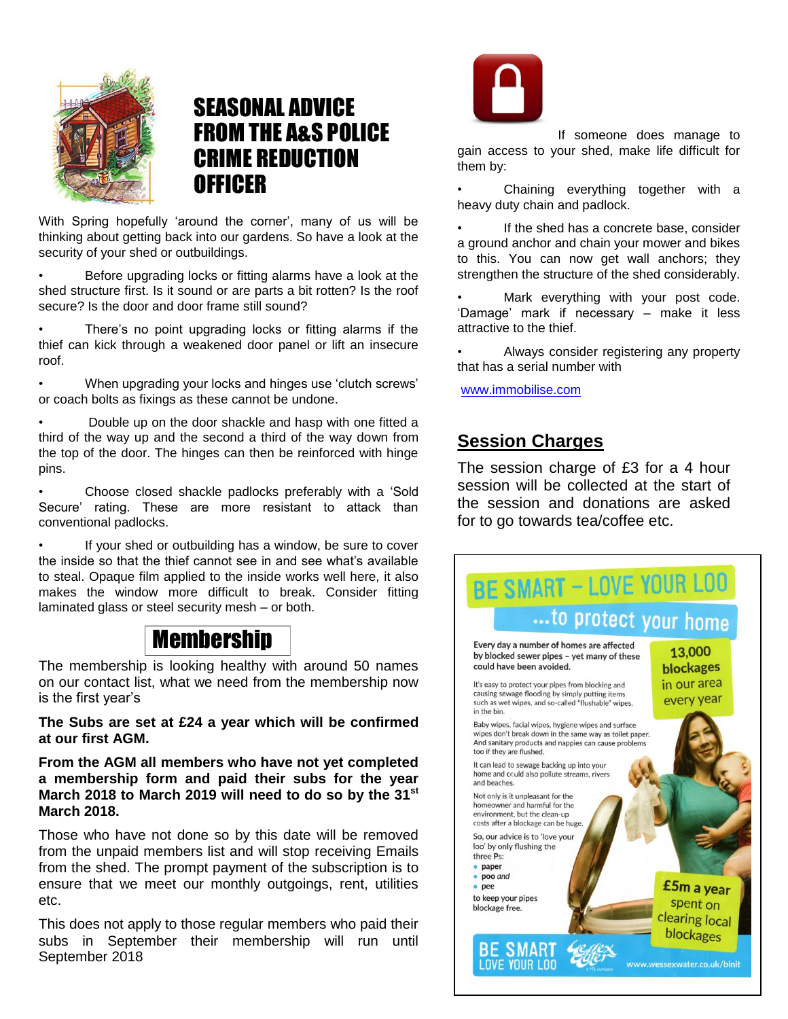

### SEASONAL ADVICE FROM THE A&S POLICE CRIME REDUCTION **OFFICER**

With Spring hopefully 'around the corner', many of us will be thinking about getting back into our gardens. So have a look at the security of your shed or outbuildings.

• Before upgrading locks or fitting alarms have a look at the shed structure first. Is it sound or are parts a bit rotten? Is the roof secure? Is the door and door frame still sound?

There's no point upgrading locks or fitting alarms if the thief can kick through a weakened door panel or lift an insecure roof.

• When upgrading your locks and hinges use 'clutch screws' or coach bolts as fixings as these cannot be undone.

• Double up on the door shackle and hasp with one fitted a third of the way up and the second a third of the way down from the top of the door. The hinges can then be reinforced with hinge pins.

• Choose closed shackle padlocks preferably with a 'Sold Secure' rating. These are more resistant to attack than conventional padlocks.

If your shed or outbuilding has a window, be sure to cover the inside so that the thief cannot see in and see what's available to steal. Opaque film applied to the inside works well here, it also makes the window more difficult to break. Consider fitting laminated glass or steel security mesh – or both.

### Membership

The membership is looking healthy with around 50 names on our contact list, what we need from the membership now is the first year's

**The Subs are set at £24 a year which will be confirmed at our first AGM.** 

**From the AGM all members who have not yet completed a membership form and paid their subs for the year March 2018 to March 2019 will need to do so by the 31st March 2018.**

Those who have not done so by this date will be removed from the unpaid members list and will stop receiving Emails from the shed. The prompt payment of the subscription is to ensure that we meet our monthly outgoings, rent, utilities etc.

This does not apply to those regular members who paid their subs in September their membership will run until September 2018



If someone does manage to gain access to your shed, make life difficult for them by:

Chaining everything together with a heavy duty chain and padlock.

If the shed has a concrete base, consider a ground anchor and chain your mower and bikes to this. You can now get wall anchors; they strengthen the structure of the shed considerably.

Mark everything with your post code. 'Damage' mark if necessary – make it less attractive to the thief.

• Always consider registering any property that has a serial number with

[www.immobilise.com](http://www.immobilise.com/)

#### **Session Charges**

The session charge of £3 for a 4 hour session will be collected at the start of the session and donations are asked for to go towards tea/coffee etc.